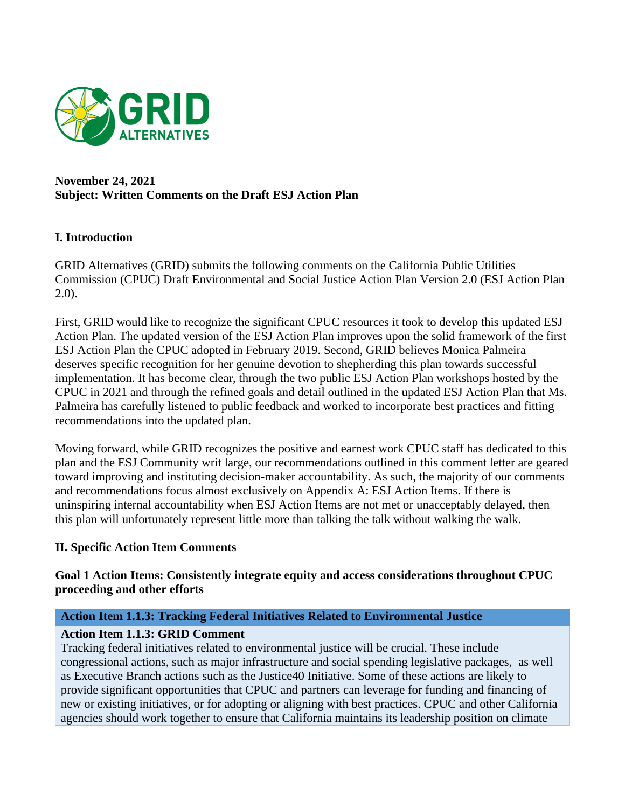

## **November 24, 2021 Subject: Written Comments on the Draft ESJ Action Plan**

# **I. Introduction**

GRID Alternatives (GRID) submits the following comments on the California Public Utilities Commission (CPUC) Draft Environmental and Social Justice Action Plan Version 2.0 (ESJ Action Plan 2.0).

First, GRID would like to recognize the significant CPUC resources it took to develop this updated ESJ Action Plan. The updated version of the ESJ Action Plan improves upon the solid framework of the first ESJ Action Plan the CPUC adopted in February 2019. Second, GRID believes Monica Palmeira deserves specific recognition for her genuine devotion to shepherding this plan towards successful implementation. It has become clear, through the two public ESJ Action Plan workshops hosted by the CPUC in 2021 and through the refined goals and detail outlined in the updated ESJ Action Plan that Ms. Palmeira has carefully listened to public feedback and worked to incorporate best practices and fitting recommendations into the updated plan.

Moving forward, while GRID recognizes the positive and earnest work CPUC staff has dedicated to this plan and the ESJ Community writ large, our recommendations outlined in this comment letter are geared toward improving and instituting decision-maker accountability. As such, the majority of our comments and recommendations focus almost exclusively on Appendix A: ESJ Action Items. If there is uninspiring internal accountability when ESJ Action Items are not met or unacceptably delayed, then this plan will unfortunately represent little more than talking the talk without walking the walk.

# **II. Specific Action Item Comments**

**Goal 1 Action Items: Consistently integrate equity and access considerations throughout CPUC proceeding and other efforts**

# **Action Item 1.1.3: Tracking Federal Initiatives Related to Environmental Justice**

### **Action Item 1.1.3: GRID Comment**

Tracking federal initiatives related to environmental justice will be crucial. These include congressional actions, such as major infrastructure and social spending legislative packages, as well as Executive Branch actions such as the Justice40 Initiative. Some of these actions are likely to provide significant opportunities that CPUC and partners can leverage for funding and financing of new or existing initiatives, or for adopting or aligning with best practices. CPUC and other California agencies should work together to ensure that California maintains its leadership position on climate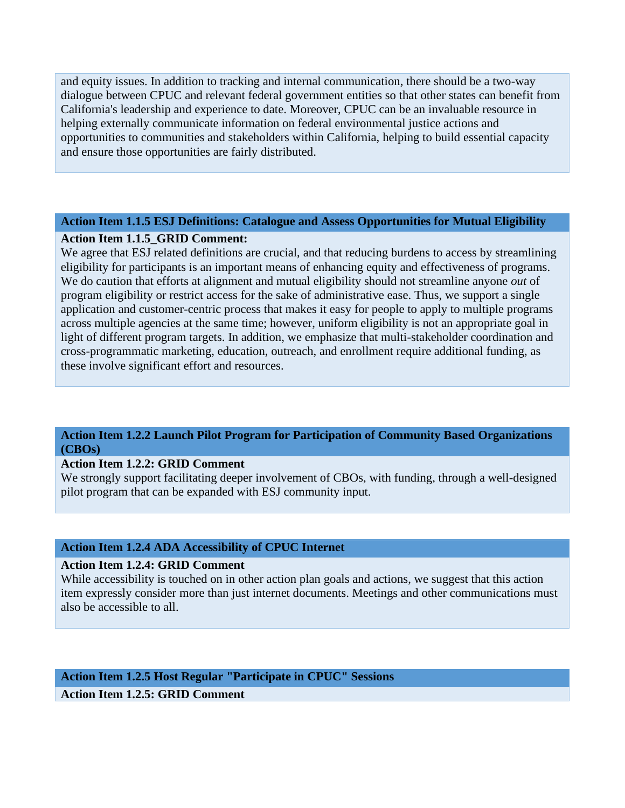and equity issues. In addition to tracking and internal communication, there should be a two-way dialogue between CPUC and relevant federal government entities so that other states can benefit from California's leadership and experience to date. Moreover, CPUC can be an invaluable resource in helping externally communicate information on federal environmental justice actions and opportunities to communities and stakeholders within California, helping to build essential capacity and ensure those opportunities are fairly distributed.

### **Action Item 1.1.5 ESJ Definitions: Catalogue and Assess Opportunities for Mutual Eligibility**

### **Action Item 1.1.5\_GRID Comment:**

We agree that ESJ related definitions are crucial, and that reducing burdens to access by streamlining eligibility for participants is an important means of enhancing equity and effectiveness of programs. We do caution that efforts at alignment and mutual eligibility should not streamline anyone *out* of program eligibility or restrict access for the sake of administrative ease. Thus, we support a single application and customer-centric process that makes it easy for people to apply to multiple programs across multiple agencies at the same time; however, uniform eligibility is not an appropriate goal in light of different program targets. In addition, we emphasize that multi-stakeholder coordination and cross-programmatic marketing, education, outreach, and enrollment require additional funding, as these involve significant effort and resources.

### **Action Item 1.2.2 Launch Pilot Program for Participation of Community Based Organizations (CBOs)**

### **Action Item 1.2.2: GRID Comment**

We strongly support facilitating deeper involvement of CBOs, with funding, through a well-designed pilot program that can be expanded with ESJ community input.

### **Action Item 1.2.4 ADA Accessibility of CPUC Internet**

#### **Action Item 1.2.4: GRID Comment**

While accessibility is touched on in other action plan goals and actions, we suggest that this action item expressly consider more than just internet documents. Meetings and other communications must also be accessible to all.

**Action Item 1.2.5 Host Regular "Participate in CPUC" Sessions Action Item 1.2.5: GRID Comment**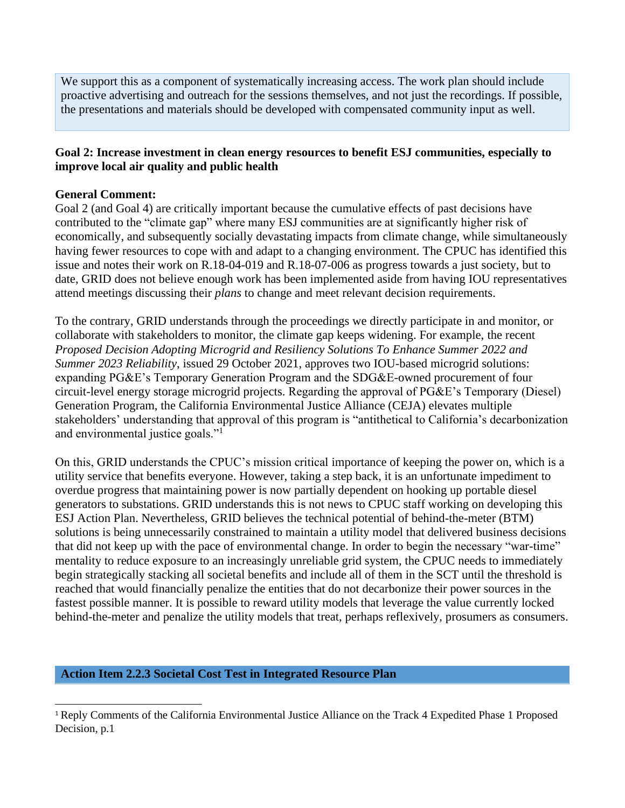We support this as a component of systematically increasing access. The work plan should include proactive advertising and outreach for the sessions themselves, and not just the recordings. If possible, the presentations and materials should be developed with compensated community input as well.

# **Goal 2: Increase investment in clean energy resources to benefit ESJ communities, especially to improve local air quality and public health**

## **General Comment:**

Goal 2 (and Goal 4) are critically important because the cumulative effects of past decisions have contributed to the "climate gap" where many ESJ communities are at significantly higher risk of economically, and subsequently socially devastating impacts from climate change, while simultaneously having fewer resources to cope with and adapt to a changing environment. The CPUC has identified this issue and notes their work on R.18-04-019 and R.18-07-006 as progress towards a just society, but to date, GRID does not believe enough work has been implemented aside from having IOU representatives attend meetings discussing their *plans* to change and meet relevant decision requirements.

To the contrary, GRID understands through the proceedings we directly participate in and monitor, or collaborate with stakeholders to monitor, the climate gap keeps widening. For example, the recent *Proposed Decision Adopting Microgrid and Resiliency Solutions To Enhance Summer 2022 and Summer 2023 Reliability*, issued 29 October 2021, approves two IOU-based microgrid solutions: expanding PG&E's Temporary Generation Program and the SDG&E-owned procurement of four circuit-level energy storage microgrid projects. Regarding the approval of PG&E's Temporary (Diesel) Generation Program, the California Environmental Justice Alliance (CEJA) elevates multiple stakeholders' understanding that approval of this program is "antithetical to California's decarbonization and environmental justice goals."<sup>1</sup>

On this, GRID understands the CPUC's mission critical importance of keeping the power on, which is a utility service that benefits everyone. However, taking a step back, it is an unfortunate impediment to overdue progress that maintaining power is now partially dependent on hooking up portable diesel generators to substations. GRID understands this is not news to CPUC staff working on developing this ESJ Action Plan. Nevertheless, GRID believes the technical potential of behind-the-meter (BTM) solutions is being unnecessarily constrained to maintain a utility model that delivered business decisions that did not keep up with the pace of environmental change. In order to begin the necessary "war-time" mentality to reduce exposure to an increasingly unreliable grid system, the CPUC needs to immediately begin strategically stacking all societal benefits and include all of them in the SCT until the threshold is reached that would financially penalize the entities that do not decarbonize their power sources in the fastest possible manner. It is possible to reward utility models that leverage the value currently locked behind-the-meter and penalize the utility models that treat, perhaps reflexively, prosumers as consumers.

### **Action Item 2.2.3 Societal Cost Test in Integrated Resource Plan**

<sup>1</sup> Reply Comments of the California Environmental Justice Alliance on the Track 4 Expedited Phase 1 Proposed Decision, p.1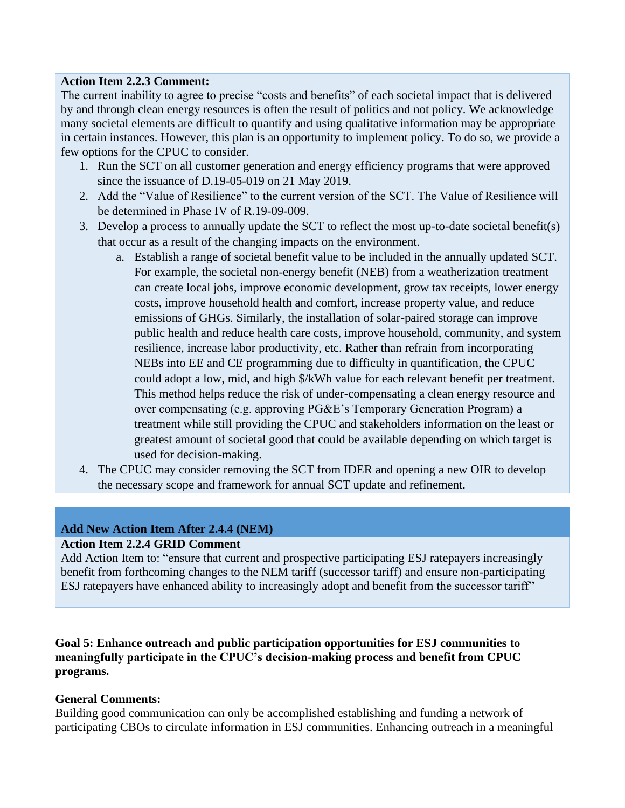## **Action Item 2.2.3 Comment:**

The current inability to agree to precise "costs and benefits" of each societal impact that is delivered by and through clean energy resources is often the result of politics and not policy. We acknowledge many societal elements are difficult to quantify and using qualitative information may be appropriate in certain instances. However, this plan is an opportunity to implement policy. To do so, we provide a few options for the CPUC to consider.

- 1. Run the SCT on all customer generation and energy efficiency programs that were approved since the issuance of D.19-05-019 on 21 May 2019.
- 2. Add the "Value of Resilience" to the current version of the SCT. The Value of Resilience will be determined in Phase IV of R.19-09-009.
- 3. Develop a process to annually update the SCT to reflect the most up-to-date societal benefit(s) that occur as a result of the changing impacts on the environment.
	- a. Establish a range of societal benefit value to be included in the annually updated SCT. For example, the societal non-energy benefit (NEB) from a weatherization treatment can create local jobs, improve economic development, grow tax receipts, lower energy costs, improve household health and comfort, increase property value, and reduce emissions of GHGs. Similarly, the installation of solar-paired storage can improve public health and reduce health care costs, improve household, community, and system resilience, increase labor productivity, etc. Rather than refrain from incorporating NEBs into EE and CE programming due to difficulty in quantification, the CPUC could adopt a low, mid, and high \$/kWh value for each relevant benefit per treatment. This method helps reduce the risk of under-compensating a clean energy resource and over compensating (e.g. approving PG&E's Temporary Generation Program) a treatment while still providing the CPUC and stakeholders information on the least or greatest amount of societal good that could be available depending on which target is used for decision-making.
- 4. The CPUC may consider removing the SCT from IDER and opening a new OIR to develop the necessary scope and framework for annual SCT update and refinement.

# **Add New Action Item After 2.4.4 (NEM)**

# **Action Item 2.2.4 GRID Comment**

Add Action Item to: "ensure that current and prospective participating ESJ ratepayers increasingly benefit from forthcoming changes to the NEM tariff (successor tariff) and ensure non-participating ESJ ratepayers have enhanced ability to increasingly adopt and benefit from the successor tariff"

**Goal 5: Enhance outreach and public participation opportunities for ESJ communities to meaningfully participate in the CPUC's decision-making process and benefit from CPUC programs.** 

# **General Comments:**

Building good communication can only be accomplished establishing and funding a network of participating CBOs to circulate information in ESJ communities. Enhancing outreach in a meaningful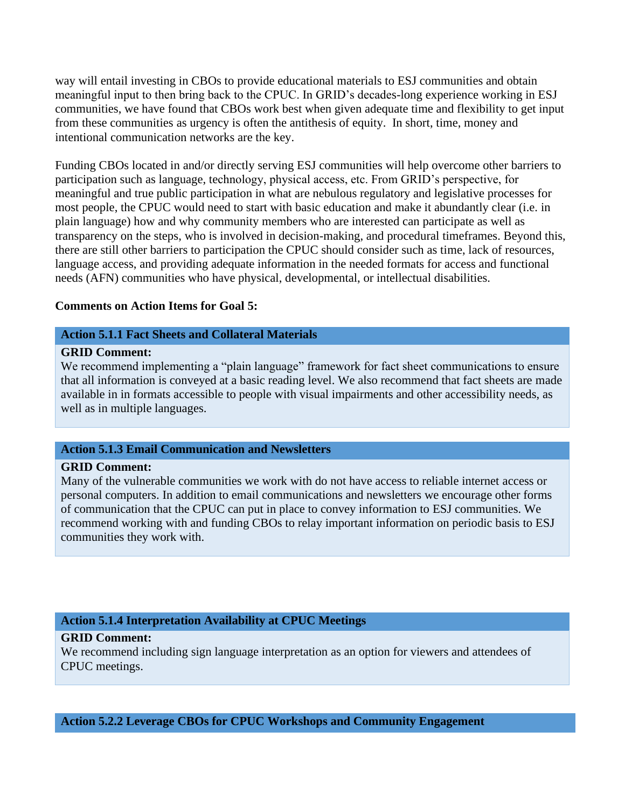way will entail investing in CBOs to provide educational materials to ESJ communities and obtain meaningful input to then bring back to the CPUC. In GRID's decades-long experience working in ESJ communities, we have found that CBOs work best when given adequate time and flexibility to get input from these communities as urgency is often the antithesis of equity. In short, time, money and intentional communication networks are the key.

Funding CBOs located in and/or directly serving ESJ communities will help overcome other barriers to participation such as language, technology, physical access, etc. From GRID's perspective, for meaningful and true public participation in what are nebulous regulatory and legislative processes for most people, the CPUC would need to start with basic education and make it abundantly clear (i.e. in plain language) how and why community members who are interested can participate as well as transparency on the steps, who is involved in decision-making, and procedural timeframes. Beyond this, there are still other barriers to participation the CPUC should consider such as time, lack of resources, language access, and providing adequate information in the needed formats for access and functional needs (AFN) communities who have physical, developmental, or intellectual disabilities.

### **Comments on Action Items for Goal 5:**

#### **Action 5.1.1 Fact Sheets and Collateral Materials**

#### **GRID Comment:**

We recommend implementing a "plain language" framework for fact sheet communications to ensure that all information is conveyed at a basic reading level. We also recommend that fact sheets are made available in in formats accessible to people with visual impairments and other accessibility needs, as well as in multiple languages.

### **Action 5.1.3 Email Communication and Newsletters**

### **GRID Comment:**

Many of the vulnerable communities we work with do not have access to reliable internet access or personal computers. In addition to email communications and newsletters we encourage other forms of communication that the CPUC can put in place to convey information to ESJ communities. We recommend working with and funding CBOs to relay important information on periodic basis to ESJ communities they work with.

### **Action 5.1.4 Interpretation Availability at CPUC Meetings**

#### **GRID Comment:**

We recommend including sign language interpretation as an option for viewers and attendees of CPUC meetings.

## **Action 5.2.2 Leverage CBOs for CPUC Workshops and Community Engagement**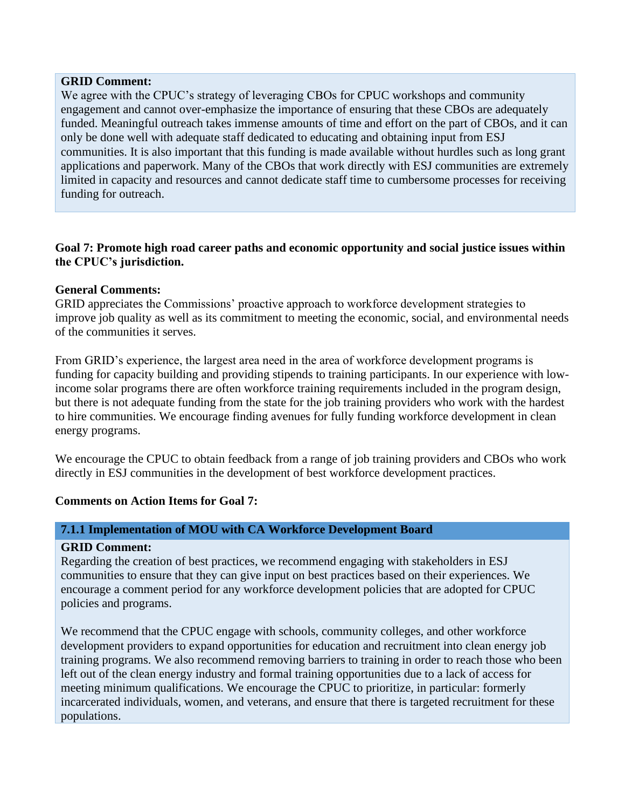#### **GRID Comment:**

We agree with the CPUC's strategy of leveraging CBOs for CPUC workshops and community engagement and cannot over-emphasize the importance of ensuring that these CBOs are adequately funded. Meaningful outreach takes immense amounts of time and effort on the part of CBOs, and it can only be done well with adequate staff dedicated to educating and obtaining input from ESJ communities. It is also important that this funding is made available without hurdles such as long grant applications and paperwork. Many of the CBOs that work directly with ESJ communities are extremely limited in capacity and resources and cannot dedicate staff time to cumbersome processes for receiving funding for outreach.

## **Goal 7: Promote high road career paths and economic opportunity and social justice issues within the CPUC's jurisdiction.**

## **General Comments:**

GRID appreciates the Commissions' proactive approach to workforce development strategies to improve job quality as well as its commitment to meeting the economic, social, and environmental needs of the communities it serves.

From GRID's experience, the largest area need in the area of workforce development programs is funding for capacity building and providing stipends to training participants. In our experience with lowincome solar programs there are often workforce training requirements included in the program design, but there is not adequate funding from the state for the job training providers who work with the hardest to hire communities. We encourage finding avenues for fully funding workforce development in clean energy programs.

We encourage the CPUC to obtain feedback from a range of job training providers and CBOs who work directly in ESJ communities in the development of best workforce development practices.

# **Comments on Action Items for Goal 7:**

### **7.1.1 Implementation of MOU with CA Workforce Development Board**

### **GRID Comment:**

Regarding the creation of best practices, we recommend engaging with stakeholders in ESJ communities to ensure that they can give input on best practices based on their experiences. We encourage a comment period for any workforce development policies that are adopted for CPUC policies and programs.

We recommend that the CPUC engage with schools, community colleges, and other workforce development providers to expand opportunities for education and recruitment into clean energy job training programs. We also recommend removing barriers to training in order to reach those who been left out of the clean energy industry and formal training opportunities due to a lack of access for meeting minimum qualifications. We encourage the CPUC to prioritize, in particular: formerly incarcerated individuals, women, and veterans, and ensure that there is targeted recruitment for these populations.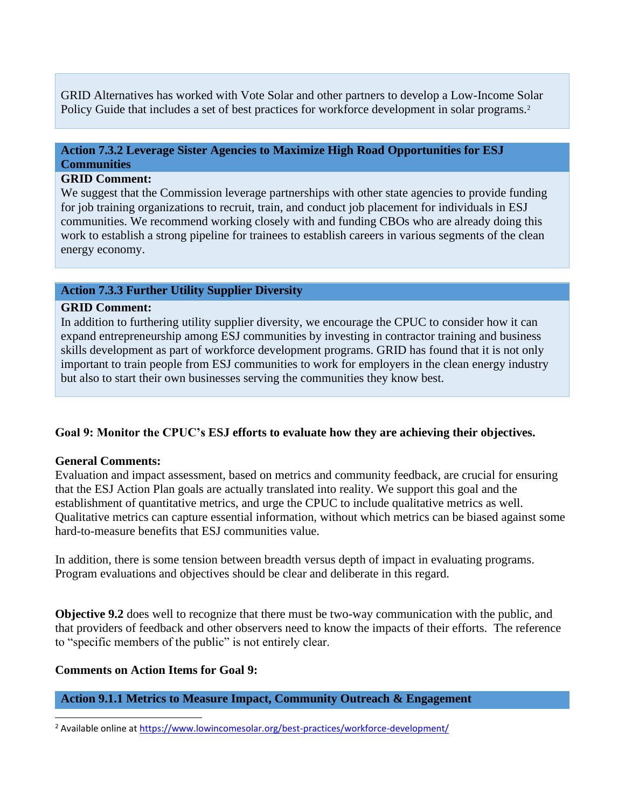GRID Alternatives has worked with Vote Solar and other partners to develop a Low-Income Solar Policy Guide that includes a set of best practices for workforce development in solar programs.<sup>2</sup>

# **Action 7.3.2 Leverage Sister Agencies to Maximize High Road Opportunities for ESJ Communities**

### **GRID Comment:**

We suggest that the Commission leverage partnerships with other state agencies to provide funding for job training organizations to recruit, train, and conduct job placement for individuals in ESJ communities. We recommend working closely with and funding CBOs who are already doing this work to establish a strong pipeline for trainees to establish careers in various segments of the clean energy economy.

## **Action 7.3.3 Further Utility Supplier Diversity**

### **GRID Comment:**

In addition to furthering utility supplier diversity, we encourage the CPUC to consider how it can expand entrepreneurship among ESJ communities by investing in contractor training and business skills development as part of workforce development programs. GRID has found that it is not only important to train people from ESJ communities to work for employers in the clean energy industry but also to start their own businesses serving the communities they know best.

### **Goal 9: Monitor the CPUC's ESJ efforts to evaluate how they are achieving their objectives.**

### **General Comments:**

Evaluation and impact assessment, based on metrics and community feedback, are crucial for ensuring that the ESJ Action Plan goals are actually translated into reality. We support this goal and the establishment of quantitative metrics, and urge the CPUC to include qualitative metrics as well. Qualitative metrics can capture essential information, without which metrics can be biased against some hard-to-measure benefits that ESJ communities value.

In addition, there is some tension between breadth versus depth of impact in evaluating programs. Program evaluations and objectives should be clear and deliberate in this regard.

**Objective 9.2** does well to recognize that there must be two-way communication with the public, and that providers of feedback and other observers need to know the impacts of their efforts. The reference to "specific members of the public" is not entirely clear.

### **Comments on Action Items for Goal 9:**

### **Action 9.1.1 Metrics to Measure Impact, Community Outreach & Engagement**

<sup>2</sup> Available online at<https://www.lowincomesolar.org/best-practices/workforce-development/>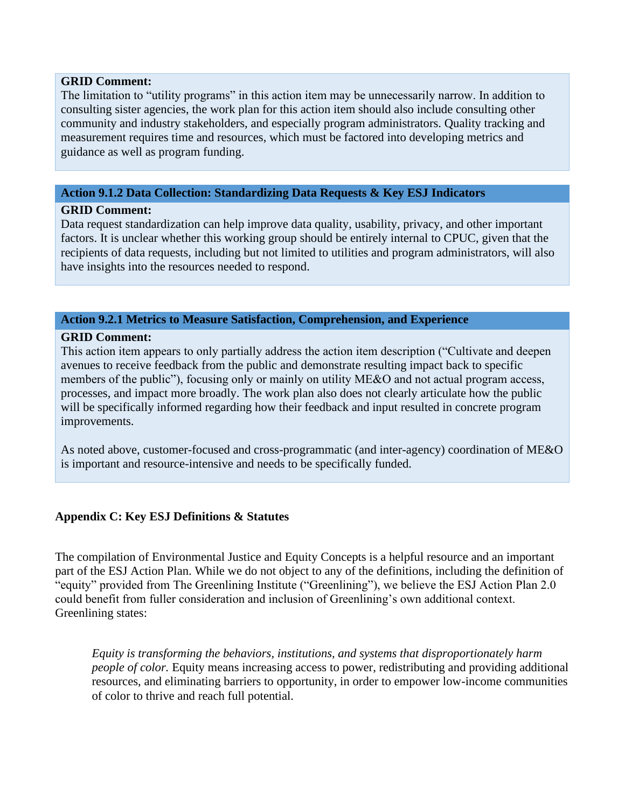#### **GRID Comment:**

The limitation to "utility programs" in this action item may be unnecessarily narrow. In addition to consulting sister agencies, the work plan for this action item should also include consulting other community and industry stakeholders, and especially program administrators. Quality tracking and measurement requires time and resources, which must be factored into developing metrics and guidance as well as program funding.

## **Action 9.1.2 Data Collection: Standardizing Data Requests & Key ESJ Indicators**

### **GRID Comment:**

Data request standardization can help improve data quality, usability, privacy, and other important factors. It is unclear whether this working group should be entirely internal to CPUC, given that the recipients of data requests, including but not limited to utilities and program administrators, will also have insights into the resources needed to respond.

# **Action 9.2.1 Metrics to Measure Satisfaction, Comprehension, and Experience**

### **GRID Comment:**

This action item appears to only partially address the action item description ("Cultivate and deepen avenues to receive feedback from the public and demonstrate resulting impact back to specific members of the public"), focusing only or mainly on utility ME&O and not actual program access, processes, and impact more broadly. The work plan also does not clearly articulate how the public will be specifically informed regarding how their feedback and input resulted in concrete program improvements.

As noted above, customer-focused and cross-programmatic (and inter-agency) coordination of ME&O is important and resource-intensive and needs to be specifically funded.

# **Appendix C: Key ESJ Definitions & Statutes**

The compilation of Environmental Justice and Equity Concepts is a helpful resource and an important part of the ESJ Action Plan. While we do not object to any of the definitions, including the definition of "equity" provided from The Greenlining Institute ("Greenlining"), we believe the ESJ Action Plan 2.0 could benefit from fuller consideration and inclusion of Greenlining's own additional context. Greenlining states:

*Equity is transforming the behaviors, institutions, and systems that disproportionately harm people of color.* Equity means increasing access to power, redistributing and providing additional resources, and eliminating barriers to opportunity, in order to empower low-income communities of color to thrive and reach full potential.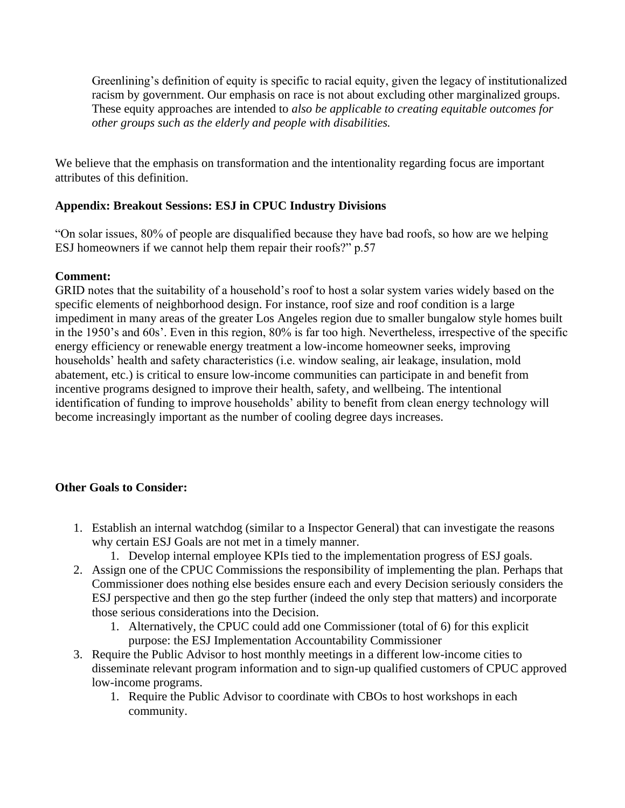Greenlining's definition of equity is specific to racial equity, given the legacy of institutionalized racism by government. Our emphasis on race is not about excluding other marginalized groups. These equity approaches are intended to *also be applicable to creating equitable outcomes for other groups such as the elderly and people with disabilities.*

We believe that the emphasis on transformation and the intentionality regarding focus are important attributes of this definition.

# **Appendix: Breakout Sessions: ESJ in CPUC Industry Divisions**

"On solar issues, 80% of people are disqualified because they have bad roofs, so how are we helping ESJ homeowners if we cannot help them repair their roofs?" p.57

# **Comment:**

GRID notes that the suitability of a household's roof to host a solar system varies widely based on the specific elements of neighborhood design. For instance, roof size and roof condition is a large impediment in many areas of the greater Los Angeles region due to smaller bungalow style homes built in the 1950's and 60s'. Even in this region, 80% is far too high. Nevertheless, irrespective of the specific energy efficiency or renewable energy treatment a low-income homeowner seeks, improving households' health and safety characteristics (i.e. window sealing, air leakage, insulation, mold abatement, etc.) is critical to ensure low-income communities can participate in and benefit from incentive programs designed to improve their health, safety, and wellbeing. The intentional identification of funding to improve households' ability to benefit from clean energy technology will become increasingly important as the number of cooling degree days increases.

# **Other Goals to Consider:**

- 1. Establish an internal watchdog (similar to a Inspector General) that can investigate the reasons why certain ESJ Goals are not met in a timely manner.
	- 1. Develop internal employee KPIs tied to the implementation progress of ESJ goals.
- 2. Assign one of the CPUC Commissions the responsibility of implementing the plan. Perhaps that Commissioner does nothing else besides ensure each and every Decision seriously considers the ESJ perspective and then go the step further (indeed the only step that matters) and incorporate those serious considerations into the Decision.
	- 1. Alternatively, the CPUC could add one Commissioner (total of 6) for this explicit purpose: the ESJ Implementation Accountability Commissioner
- 3. Require the Public Advisor to host monthly meetings in a different low-income cities to disseminate relevant program information and to sign-up qualified customers of CPUC approved low-income programs.
	- 1. Require the Public Advisor to coordinate with CBOs to host workshops in each community.